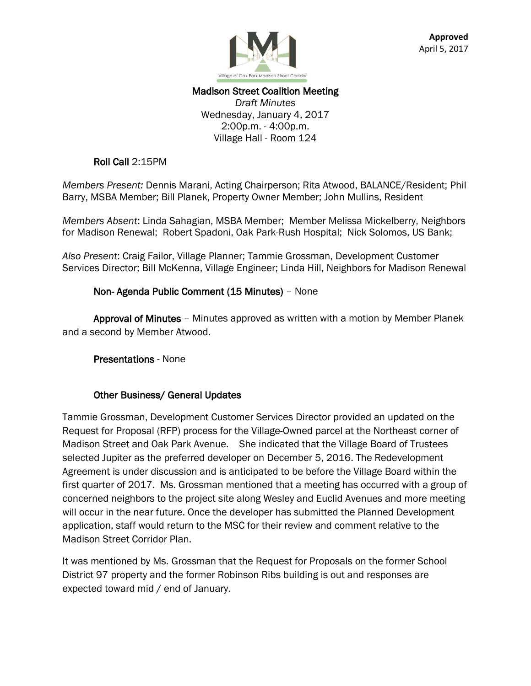

### Madison Street Coalition Meeting *Draft Minutes* Wednesday, January 4, 2017 2:00p.m. - 4:00p.m. Village Hall - Room 124

### Roll Call 2:15PM

*Members Present:* Dennis Marani, Acting Chairperson; Rita Atwood, BALANCE/Resident; Phil Barry, MSBA Member; Bill Planek, Property Owner Member; John Mullins, Resident

*Members Absent*: Linda Sahagian, MSBA Member; Member Melissa Mickelberry, Neighbors for Madison Renewal; Robert Spadoni, Oak Park-Rush Hospital; Nick Solomos, US Bank;

*Also Present*: Craig Failor, Village Planner; Tammie Grossman, Development Customer Services Director; Bill McKenna, Village Engineer; Linda Hill, Neighbors for Madison Renewal

## Non- Agenda Public Comment (15 Minutes) – None

 Approval of Minutes – Minutes approved as written with a motion by Member Planek and a second by Member Atwood.

Presentations - None

### Other Business/ General Updates

Tammie Grossman, Development Customer Services Director provided an updated on the Request for Proposal (RFP) process for the Village-Owned parcel at the Northeast corner of Madison Street and Oak Park Avenue. She indicated that the Village Board of Trustees selected Jupiter as the preferred developer on December 5, 2016. The Redevelopment Agreement is under discussion and is anticipated to be before the Village Board within the first quarter of 2017. Ms. Grossman mentioned that a meeting has occurred with a group of concerned neighbors to the project site along Wesley and Euclid Avenues and more meeting will occur in the near future. Once the developer has submitted the Planned Development application, staff would return to the MSC for their review and comment relative to the Madison Street Corridor Plan.

It was mentioned by Ms. Grossman that the Request for Proposals on the former School District 97 property and the former Robinson Ribs building is out and responses are expected toward mid / end of January.